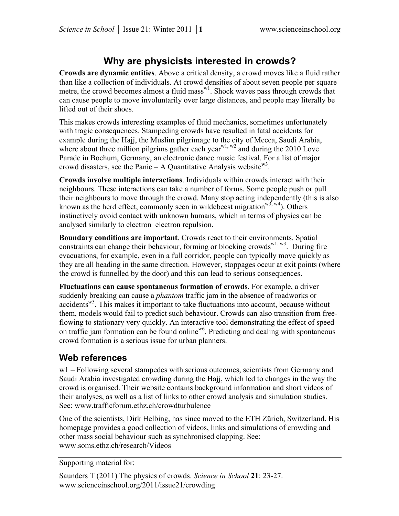## **Why are physicists interested in crowds?**

**Crowds are dynamic entities**. Above a critical density, a crowd moves like a fluid rather than like a collection of individuals. At crowd densities of about seven people per square metre, the crowd becomes almost a fluid mass $w<sup>1</sup>$ . Shock waves pass through crowds that can cause people to move involuntarily over large distances, and people may literally be lifted out of their shoes.

This makes crowds interesting examples of fluid mechanics, sometimes unfortunately with tragic consequences. Stampeding crowds have resulted in fatal accidents for example during the Hajj, the Muslim pilgrimage to the city of Mecca, Saudi Arabia, where about three million pilgrims gather each year<sup>w1, w2</sup> and during the 2010 Love Parade in Bochum, Germany, an electronic dance music festival. For a list of major crowd disasters, see the Panic – A Quantitative Analysis website<sup>w3</sup>.

**Crowds involve multiple interactions**. Individuals within crowds interact with their neighbours. These interactions can take a number of forms. Some people push or pull their neighbours to move through the crowd. Many stop acting independently (this is also known as the herd effect, commonly seen in wildebeest migration  $w<sup>3</sup>$ ,  $w<sup>4</sup>$ ). Others instinctively avoid contact with unknown humans, which in terms of physics can be analysed similarly to electron–electron repulsion.

**Boundary conditions are important**. Crowds react to their environments. Spatial constraints can change their behaviour, forming or blocking crowds  $w_1, w_3$ . During fire evacuations, for example, even in a full corridor, people can typically move quickly as they are all heading in the same direction. However, stoppages occur at exit points (where the crowd is funnelled by the door) and this can lead to serious consequences.

**Fluctuations can cause spontaneous formation of crowds**. For example, a driver suddenly breaking can cause a *phantom* traffic jam in the absence of roadworks or accidents<sup>w5</sup>. This makes it important to take fluctuations into account, because without them, models would fail to predict such behaviour. Crowds can also transition from freeflowing to stationary very quickly. An interactive tool demonstrating the effect of speed on traffic jam formation can be found online<sup>w6</sup>. Predicting and dealing with spontaneous crowd formation is a serious issue for urban planners.

## **Web references**

w1 – Following several stampedes with serious outcomes, scientists from Germany and Saudi Arabia investigated crowding during the Hajj, which led to changes in the way the crowd is organised. Their website contains background information and short videos of their analyses, as well as a list of links to other crowd analysis and simulation studies. See: www.trafficforum.ethz.ch/crowdturbulence

One of the scientists, Dirk Helbing, has since moved to the ETH Zürich, Switzerland. His homepage provides a good collection of videos, links and simulations of crowding and other mass social behaviour such as synchronised clapping. See: www.soms.ethz.ch/research/Videos

Supporting material for:

Saunders T (2011) The physics of crowds. *Science in School* **21**: 23-27. www.scienceinschool.org/2011/issue21/crowding